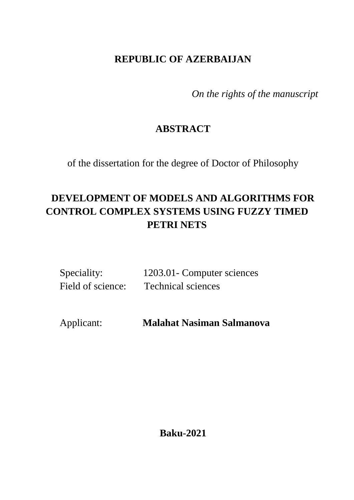# **REPUBLIC OF AZERBAIJAN**

*On the rights of the manuscript*

# **ABSTRACT**

of the dissertation for the degree of Doctor of Philosophy

# **DEVELOPMENT OF MODELS AND ALGORITHMS FOR CONTROL COMPLEX SYSTEMS USING FUZZY TIMED PETRI NETS**

| Speciality:       | 1203.01 Computer sciences |
|-------------------|---------------------------|
| Field of science: | <b>Technical sciences</b> |

Applicant: **Malahat Nasiman Salmanova**

**Baku-2021**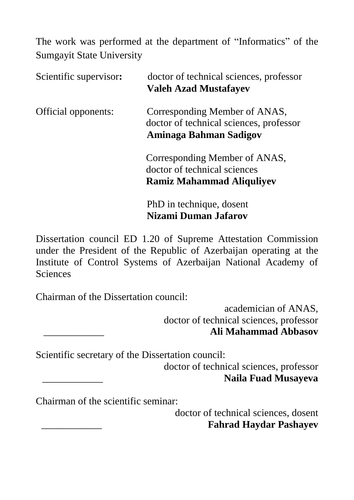The work was performed at the department of "Informatics" of the Sumgayit State University

| Scientific supervisor: | doctor of technical sciences, professor<br><b>Valeh Azad Mustafayev</b>                            |  |  |
|------------------------|----------------------------------------------------------------------------------------------------|--|--|
| Official opponents:    | Corresponding Member of ANAS,<br>doctor of technical sciences, professor<br>Aminaga Bahman Sadigov |  |  |
|                        | Corresponding Member of ANAS,<br>doctor of technical sciences<br><b>Ramiz Mahammad Aliquliyev</b>  |  |  |
|                        | PhD in technique, dosent<br>Nizami Duman Jafarov                                                   |  |  |

Dissertation council ED 1.20 of Supreme Attestation Commission under the President of the Republic of Azerbaijan operating at the Institute of Control Systems of Azerbaijan National Academy of **Sciences** 

Chairman of the Dissertation council:

 academician of ANAS, doctor of technical sciences, professor \_\_\_\_\_\_\_\_\_\_\_\_ **Ali Mahammad Abbasov**

Scientific secretary of the Dissertation council:

doctor of technical sciences, professor \_\_\_\_\_\_\_\_\_\_\_\_ **Naila Fuad Musayeva**

Chairman of the scientific seminar:

 doctor of technical sciences, dosent \_\_\_\_\_\_\_\_\_\_\_\_ **Fahrad Haydar Pashayev**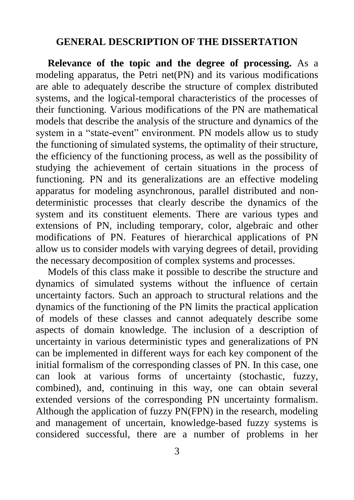#### **GENERAL DESCRIPTION OF THE DISSERTATION**

**Relevance of the topic and the degree of processing.** As a modeling apparatus, the Petri net(PN) and its various modifications are able to adequately describe the structure of complex distributed systems, and the logical-temporal characteristics of the processes of their functioning. Various modifications of the PN are mathematical models that describe the analysis of the structure and dynamics of the system in a "state-event" environment. PN models allow us to study the functioning of simulated systems, the optimality of their structure, the efficiency of the functioning process, as well as the possibility of studying the achievement of certain situations in the process of functioning. PN and its generalizations are an effective modeling apparatus for modeling asynchronous, parallel distributed and nondeterministic processes that clearly describe the dynamics of the system and its constituent elements. There are various types and extensions of PN, including temporary, color, algebraic and other modifications of PN. Features of hierarchical applications of PN allow us to consider models with varying degrees of detail, providing the necessary decomposition of complex systems and processes.

Models of this class make it possible to describe the structure and dynamics of simulated systems without the influence of certain uncertainty factors. Such an approach to structural relations and the dynamics of the functioning of the PN limits the practical application of models of these classes and cannot adequately describe some aspects of domain knowledge. The inclusion of a description of uncertainty in various deterministic types and generalizations of PN can be implemented in different ways for each key component of the initial formalism of the corresponding classes of PN. In this case, one can look at various forms of uncertainty (stochastic, fuzzy, combined), and, continuing in this way, one can obtain several extended versions of the corresponding PN uncertainty formalism. Although the application of fuzzy PN(FPN) in the research, modeling and management of uncertain, knowledge-based fuzzy systems is considered successful, there are a number of problems in her

3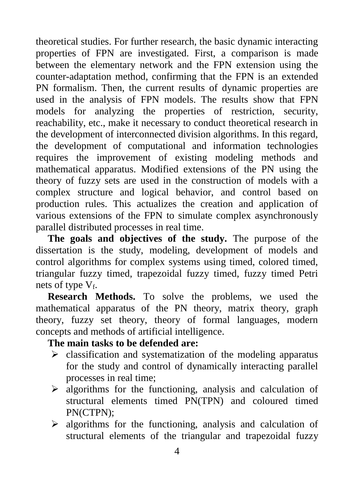theoretical studies. For further research, the basic dynamic interacting properties of FPN are investigated. First, a comparison is made between the elementary network and the FPN extension using the counter-adaptation method, confirming that the FPN is an extended PN formalism. Then, the current results of dynamic properties are used in the analysis of FPN models. The results show that FPN models for analyzing the properties of restriction, security, reachability, etc., make it necessary to conduct theoretical research in the development of interconnected division algorithms. In this regard, the development of computational and information technologies requires the improvement of existing modeling methods and mathematical apparatus. Modified extensions of the PN using the theory of fuzzy sets are used in the construction of models with a complex structure and logical behavior, and control based on production rules. This actualizes the creation and application of various extensions of the FPN to simulate complex asynchronously parallel distributed processes in real time.

**The goals and objectives of the study.** The purpose of the dissertation is the study, modeling, development of models and control algorithms for complex systems using timed, colored timed, triangular fuzzy timed, trapezoidal fuzzy timed, fuzzy timed Petri nets of type  $V_f$ .

**Research Methods.** To solve the problems, we used the mathematical apparatus of the PN theory, matrix theory, graph theory, fuzzy set theory, theory of formal languages, modern concepts and methods of artificial intelligence.

### **The main tasks to be defended are:**

- $\triangleright$  classification and systematization of the modeling apparatus for the study and control of dynamically interacting parallel processes in real time;
- $\triangleright$  algorithms for the functioning, analysis and calculation of structural elements timed PN(TPN) and coloured timed PN(CTPN);
- $\triangleright$  algorithms for the functioning, analysis and calculation of structural elements of the triangular and trapezoidal fuzzy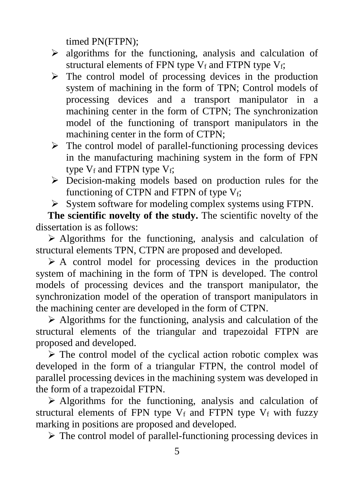timed PN(FTPN);

- $\triangleright$  algorithms for the functioning, analysis and calculation of structural elements of FPN type  $V_f$  and FTPN type  $V_f$ ;
- $\triangleright$  The control model of processing devices in the production system of machining in the form of TPN; Control models of processing devices and a transport manipulator in a machining center in the form of CTPN; The synchronization model of the functioning of transport manipulators in the machining center in the form of CTPN;
- $\triangleright$  The control model of parallel-functioning processing devices in the manufacturing machining system in the form of FPN type  $V_f$  and FTPN type  $V_f$ ;
- $\triangleright$  Decision-making models based on production rules for the functioning of CTPN and FTPN of type  $V_f$ ;
- $\triangleright$  System software for modeling complex systems using FTPN.

**The scientific novelty of the study.** The scientific novelty of the dissertation is as follows:

 $\triangleright$  Algorithms for the functioning, analysis and calculation of structural elements TPN, CTPN are proposed and developed.

 $\triangleright$  A control model for processing devices in the production system of machining in the form of TPN is developed. The control models of processing devices and the transport manipulator, the synchronization model of the operation of transport manipulators in the machining center are developed in the form of CTPN.

 $\triangleright$  Algorithms for the functioning, analysis and calculation of the structural elements of the triangular and trapezoidal FTPN are proposed and developed.

 $\triangleright$  The control model of the cyclical action robotic complex was developed in the form of a triangular FTPN, the control model of parallel processing devices in the machining system was developed in the form of a trapezoidal FTPN.

 $\triangleright$  Algorithms for the functioning, analysis and calculation of structural elements of FPN type  $V_f$  and FTPN type  $V_f$  with fuzzy marking in positions are proposed and developed.

 $\triangleright$  The control model of parallel-functioning processing devices in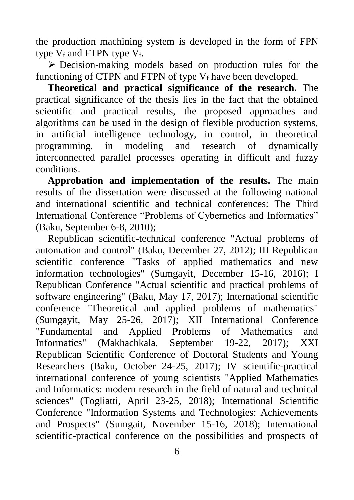the production machining system is developed in the form of FPN type  $V_f$  and FTPN type  $V_f$ .

 $\triangleright$  Decision-making models based on production rules for the functioning of CTPN and FTPN of type  $V_f$  have been developed.

**Theoretical and practical significance of the research.** The practical significance of the thesis lies in the fact that the obtained scientific and practical results, the proposed approaches and algorithms can be used in the design of flexible production systems, in artificial intelligence technology, in control, in theoretical programming, in modeling and research of dynamically interconnected parallel processes operating in difficult and fuzzy conditions.

**Approbation and implementation of the results.** The main results of the dissertation were discussed at the following national and international scientific and technical conferences: The Third International Conference "Problems of Cybernetics and Informatics" (Baku, September 6-8, 2010);

Republican scientific-technical conference "Actual problems of automation and control" (Baku, December 27, 2012); III Republican scientific conference "Tasks of applied mathematics and new information technologies" (Sumgayit, December 15-16, 2016); I Republican Conference "Actual scientific and practical problems of software engineering" (Baku, May 17, 2017); International scientific conference "Theoretical and applied problems of mathematics" (Sumgayit, May 25-26, 2017); XII International Conference "Fundamental and Applied Problems of Mathematics and Informatics" (Makhachkala, September 19-22, 2017); XXI Republican Scientific Conference of Doctoral Students and Young Researchers (Baku, October 24-25, 2017); IV scientific-practical international conference of young scientists "Applied Mathematics and Informatics: modern research in the field of natural and technical sciences" (Togliatti, April 23-25, 2018); International Scientific Conference "Information Systems and Technologies: Achievements and Prospects" (Sumgait, November 15-16, 2018); International scientific-practical conference on the possibilities and prospects of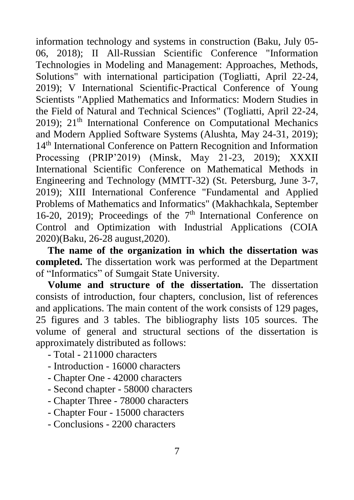information technology and systems in construction (Baku, July 05- 06, 2018); II All-Russian Scientific Conference "Information Technologies in Modeling and Management: Approaches, Methods, Solutions" with international participation (Togliatti, April 22-24, 2019); V International Scientific-Practical Conference of Young Scientists "Applied Mathematics and Informatics: Modern Studies in the Field of Natural and Technical Sciences" (Togliatti, April 22-24, 2019); 21<sup>th</sup> International Conference on Computational Mechanics and Modern Applied Software Systems (Alushta, May 24-31, 2019); 14<sup>th</sup> International Conference on Pattern Recognition and Information Processing (PRIP'2019) (Minsk, May 21-23, 2019); XXXII International Scientific Conference on Mathematical Methods in Engineering and Technology (MMTT-32) (St. Petersburg, June 3-7, 2019); XIII International Conference "Fundamental and Applied Problems of Mathematics and Informatics" (Makhachkala, September 16-20, 2019); Proceedings of the  $7<sup>th</sup>$  International Conference on Control and Optimization with Industrial Applications (COIA 2020)(Baku, 26-28 august,2020).

**The name of the organization in which the dissertation was completed.** The dissertation work was performed at the Department of "Informatics" of Sumgait State University.

**Volume and structure of the dissertation.** The dissertation consists of introduction, four chapters, conclusion, list of references and applications. The main content of the work consists of 129 pages, 25 figures and 3 tables. The bibliography lists 105 sources. The volume of general and structural sections of the dissertation is approximately distributed as follows:

- Total 211000 characters
- Introduction 16000 characters
- Chapter One 42000 characters
- Second chapter 58000 characters
- Chapter Three 78000 characters
- Chapter Four 15000 characters

- Conclusions - 2200 characters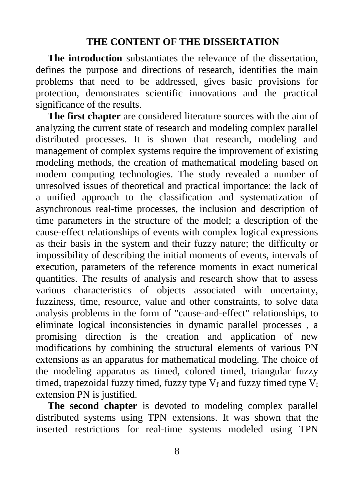#### **THE CONTENT OF THE DISSERTATION**

**The introduction** substantiates the relevance of the dissertation, defines the purpose and directions of research, identifies the main problems that need to be addressed, gives basic provisions for protection, demonstrates scientific innovations and the practical significance of the results.

**The first chapter** are considered literature sources with the aim of analyzing the current state of research and modeling complex parallel distributed processes. It is shown that research, modeling and management of complex systems require the improvement of existing modeling methods, the creation of mathematical modeling based on modern computing technologies. The study revealed a number of unresolved issues of theoretical and practical importance: the lack of a unified approach to the classification and systematization of asynchronous real-time processes, the inclusion and description of time parameters in the structure of the model; a description of the cause-effect relationships of events with complex logical expressions as their basis in the system and their fuzzy nature; the difficulty or impossibility of describing the initial moments of events, intervals of execution, parameters of the reference moments in exact numerical quantities. The results of analysis and research show that to assess various characteristics of objects associated with uncertainty, fuzziness, time, resource, value and other constraints, to solve data analysis problems in the form of "cause-and-effect" relationships, to eliminate logical inconsistencies in dynamic parallel processes , a promising direction is the creation and application of new modifications by combining the structural elements of various PN extensions as an apparatus for mathematical modeling. The choice of the modeling apparatus as timed, colored timed, triangular fuzzy timed, trapezoidal fuzzy timed, fuzzy type  $V_f$  and fuzzy timed type  $V_f$ extension PN is justified.

**The second chapter** is devoted to modeling complex parallel distributed systems using TPN extensions. It was shown that the inserted restrictions for real-time systems modeled using TPN

8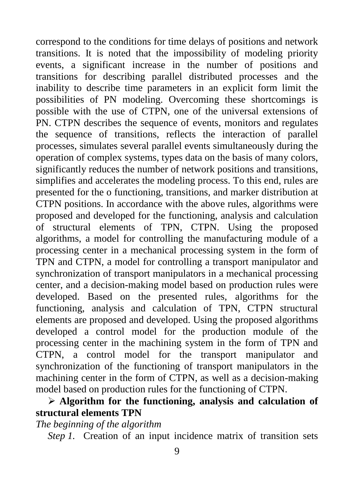correspond to the conditions for time delays of positions and network transitions. It is noted that the impossibility of modeling priority events, a significant increase in the number of positions and transitions for describing parallel distributed processes and the inability to describe time parameters in an explicit form limit the possibilities of PN modeling. Overcoming these shortcomings is possible with the use of CTPN, one of the universal extensions of PN. CTPN describes the sequence of events, monitors and regulates the sequence of transitions, reflects the interaction of parallel processes, simulates several parallel events simultaneously during the operation of complex systems, types data on the basis of many colors, significantly reduces the number of network positions and transitions, simplifies and accelerates the modeling process. To this end, rules are presented for the o functioning, transitions, and marker distribution at CTPN positions. In accordance with the above rules, algorithms were proposed and developed for the functioning, analysis and calculation of structural elements of TPN, CTPN. Using the proposed algorithms, a model for controlling the manufacturing module of a processing center in a mechanical processing system in the form of TPN and CTPN, a model for controlling a transport manipulator and synchronization of transport manipulators in a mechanical processing center, and a decision-making model based on production rules were developed. Based on the presented rules, algorithms for the functioning, analysis and calculation of TPN, CTPN structural elements are proposed and developed. Using the proposed algorithms developed a control model for the production module of the processing center in the machining system in the form of TPN and CTPN, a control model for the transport manipulator and synchronization of the functioning of transport manipulators in the machining center in the form of CTPN, as well as a decision-making model based on production rules for the functioning of CTPN.

## **Algorithm for the functioning, analysis and calculation of structural elements TPN**

*The beginning of the algorithm*

*Step 1.* Creation of an input incidence matrix of transition sets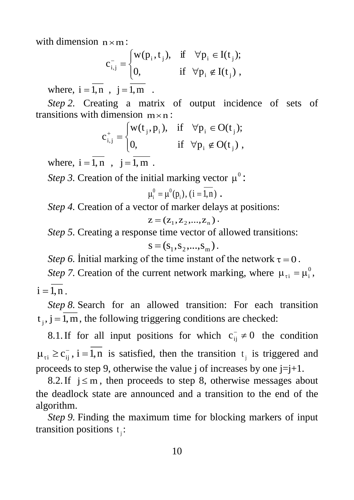with dimension  $n \times m$ :

$$
c_{i,j}^- = \begin{cases} w(p_i, t_j), & \text{if } \forall p_i \in I(t_j); \\ 0, & \text{if } \forall p_i \notin I(t_j) \end{cases}
$$

where,  $i = 1, n$ ,  $j = 1, m$ .

*Step 2.* Creating a matrix of output incidence of sets of transitions with dimension  $m \times n$ :

$$
c_{i,j}^{+} = \begin{cases} w(t_j, p_i), & \text{if } \forall p_i \in O(t_j); \\ 0, & \text{if } \forall p_i \notin O(t_j), \end{cases}
$$

where,  $i = 1, n$ ,  $j = 1, m$ .

*Step 3.* Creation of the initial marking vector  $\mu^0$ :

$$
\mu_i^0 = \mu^0(p_i), (i = \overline{1,n}).
$$

*Step 4.* Creation of a vector of marker delays at positions:

$$
z = (z1, z2,..., zn).
$$

*Step 5.* Creating a response time vector of allowed transitions:

$$
s = (s_1, s_2, ..., s_m).
$$

*Step 6.* Initial marking of the time instant of the network  $\tau = 0$ .

*Step 7.* Creation of the current network marking, where  $\mu_{\tau i} = \mu_i^0$ ,  $i = 1, n$  .

*Step 8.* Search for an allowed transition: For each transition  $t_j$ ,  $j = 1, m$ , the following triggering conditions are checked:

8.1. If for all input positions for which  $c_{ij}^- \neq 0$  the condition  $\mu_{\tau i} \ge c_{ij}$ , i = 1,n is satisfied, then the transition  $t_j$  is triggered and proceeds to step 9, otherwise the value j of increases by one  $j=j+1$ .

8.2. If  $j \le m$ , then proceeds to step 8, otherwise messages about the deadlock state are announced and a transition to the end of the algorithm.

*Step 9.* Finding the maximum time for blocking markers of input transition positions  $t_j$ :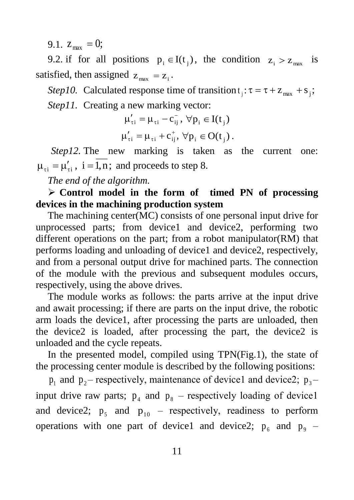9.1.  $z_{\text{max}} = 0;$ 

9.2. if for all positions  $p_i \in I(t_j)$ , the condition  $z_i > z_{max}$  is satisfied, then assigned  $z_{\text{max}} = z_i$ .

Step10. Calculated response time of transition  $t_j$ :  $\tau = \tau + z_{max} + s_j$ ; *Step11.* Creating a new marking vector:

$$
\mu'_{\tau i} = \mu_{\tau i} - c_{ij}^-, \ \forall p_i \in I(t_j)
$$
  

$$
\mu'_{\tau i} = \mu_{\tau i} + c_{ij}^+, \ \forall p_i \in O(t_j).
$$

*Step12.* The new marking is taken as the current one:  $\mu_{\tau i} = \mu'_{\tau i}$ ,  $i = 1, n$ ; and proceeds to step 8.

*The end of the algorithm.*

 **Control model in the form of timed PN of processing devices in the machining production system**

The machining center(MC) consists of one personal input drive for unprocessed parts; from device1 and device2, performing two different operations on the part; from a robot manipulator(RM) that performs loading and unloading of device1 and device2, respectively, and from a personal output drive for machined parts. The connection of the module with the previous and subsequent modules occurs, respectively, using the above drives.

The module works as follows: the parts arrive at the input drive and await processing; if there are parts on the input drive, the robotic arm loads the device1, after processing the parts are unloaded, then the device2 is loaded, after processing the part, the device2 is unloaded and the cycle repeats.

In the presented model, compiled using TPN(Fig.1), the state of the processing center module is described by the following positions:

 $p_1$  and  $p_2$ – respectively, maintenance of device1 and device2;  $p_3$ – input drive raw parts;  $p_4$  and  $p_8$  – respectively loading of device1 and device2;  $p_5$  and  $p_{10}$  – respectively, readiness to perform operations with one part of device1 and device2;  $p_6$  and  $p_9$  –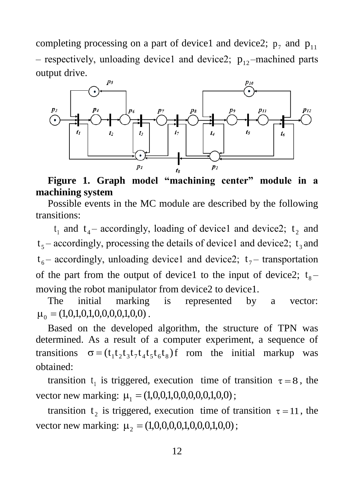completing processing on a part of device1 and device2;  $p_7$  and  $p_{11}$ - respectively, unloading device1 and device2;  $p_{12}$ -machined parts output drive.



**Figure 1. Graph model "machining center" module in a machining system**

Possible events in the MC module are described by the following transitions:

 $t_1$  and  $t_4$  – accordingly, loading of device1 and device2;  $t_2$  and  $t_5$  – accordingly, processing the details of device1 and device2;  $t_3$  and  $t_6$  – accordingly, unloading device1 and device2;  $t_7$  – transportation of the part from the output of device1 to the input of device2;  $t_s$ – moving the robot manipulator from device2 to device1.

The initial marking is represented by a vector:  $\mu_0 = (1,0,1,0,1,0,0,0,0,1,0,0)$ .

Based on the developed algorithm, the structure of TPN was determined. As a result of a computer experiment, a sequence of transitions  $\sigma = (t_1 t_2 t_3 t_7 t_4 t_5 t_6 t_8)$  f rom the initial markup was obtained:

transition  $t_1$  is triggered, execution time of transition  $\tau = 8$ , the vector new marking:  $\mu_1 = (1, 0, 0, 1, 0, 0, 0, 0, 1, 0, 0)$ ;

transition  $t_2$  is triggered, execution time of transition  $\tau = 11$ , the vector new marking:  $\mu_2 = (1,0,0,0,0,1,0,0,0,1,0,0)$ ;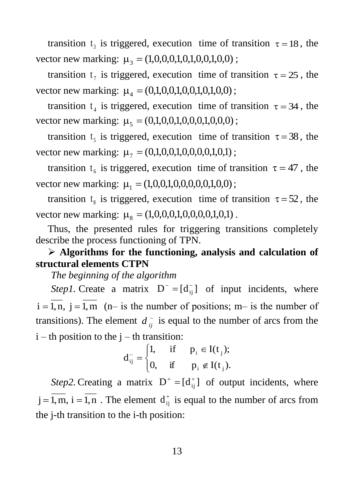transition  $t_3$  is triggered, execution time of transition  $\tau = 18$ , the vector new marking:  $\mu_3 = (1,0,0,0,1,0,1,0,0,1,0,0)$ ;

transition  $t_7$  is triggered, execution time of transition  $\tau = 25$ , the vector new marking:  $\mu_4 = (0,1,0,0,1,0,0,1,0,0,0)$ ;

transition  $t_4$  is triggered, execution time of transition  $\tau = 34$ , the vector new marking:  $\mu_5 = (0,1,0,0,1,0,0,0,1,0,0,0)$ ;

transition  $t_5$  is triggered, execution time of transition  $\tau = 38$ , the vector new marking:  $\mu_7 = (0,1,0,0,1,0,0,0,0,1,0,1)$ ;

transition  $t_6$  is triggered, execution time of transition  $\tau = 47$ , the vector new marking:  $\mu_1 = (1, 0, 0, 1, 0, 0, 0, 0, 1, 0, 0)$ ;

transition  $t_s$  is triggered, execution time of transition  $\tau = 52$ , the vector new marking:  $\mu_{8} = (1,0,0,0,1,0,0,0,0,1,0,1)$ .

Thus, the presented rules for triggering transitions completely describe the process functioning of TPN.

#### **Algorithms for the functioning, analysis and calculation of structural elements CTPN**

*The beginning of the algorithm*

*Step1*. Create a matrix  $D^- = [d_{ij}^-]$  of input incidents, where  $i = 1, n, j = 1, m$  (n– is the number of positions; m– is the number of transitions). The element  $d_{ij}$  is equal to the number of arcs from the  $i - th$  position to the  $j - th$  transition:

$$
d_{ij}^- = \begin{cases} 1, & \text{if } p_i \in I(t_j); \\ 0, & \text{if } p_i \notin I(t_j). \end{cases}
$$

*Step2*. Creating a matrix  $D^+ = [d_{ij}^+]$  of output incidents, where  $j = 1, m$ ,  $i = 1, n$ . The element  $d_{ij}^+$  is equal to the number of arcs from the j-th transition to the i-th position: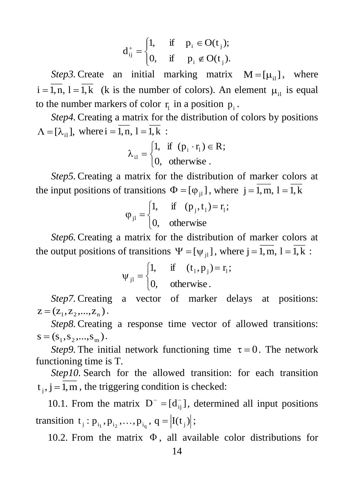$$
d_{ij}^+ = \begin{cases} 1, & \text{if } p_i \in O(t_j); \\ 0, & \text{if } p_i \notin O(t_j). \end{cases}
$$

*Step3*. Create an initial marking matrix  $M = [\mu_{i}]$ , where  $i = 1, n, l = 1, k$  (k is the number of colors). An element  $\mu_{il}$  is equal to the number markers of color  $r_1$  in a position  $p_i$ .

*Step4.* Creating a matrix for the distribution of colors by positions  $\Lambda = [\lambda_{i1}],$  where  $i = 1, n, 1 = 1, k$ :

$$
\lambda_{i1} = \begin{cases} 1, & \text{if } (p_i \cdot r_1) \in R; \\ 0, & \text{otherwise} . \end{cases}
$$

*Step5.* Creating a matrix for the distribution of marker colors at the input positions of transitions  $\Phi = [\varphi_{j1}]$ , where  $j = 1, m, 1 = 1, k$ 

$$
\varphi_{j1} = \begin{cases} 1, & \text{if } (p_j, t_1) = r_1; \\ 0, & \text{otherwise} \end{cases}
$$

*Step6.* Creating a matrix for the distribution of marker colors at the output positions of transitions  $\Psi = [\psi_{j1}]$ , where  $j = 1, m, 1 = 1, k$ :

$$
\Psi_{j1} = \begin{cases} 1, & \text{if } (t_1, p_j) = r_1; \\ 0, & \text{otherwise.} \end{cases}
$$

*Step7.* Creating a vector of marker delays at positions:  $z = (z_1, z_2, ..., z_n)$ .

*Step8.* Creating a response time vector of allowed transitions:  $s = (s_1, s_2, ..., s_m)$ .

*Step9*. The initial network functioning time  $\tau = 0$ . The network functioning time is T.

*Step10.* Search for the allowed transition: for each transition  $t_j$ ,  $j = 1, m$ , the triggering condition is checked:

10.1. From the matrix  $D^{-} = [d_{ij}^{-}]$ , determined all input positions transition  $t_j : p_{i_1}, p_{i_2},..., p_{i_q}, q = |I(t_j)|;$ 

10.2. From the matrix  $\Phi$ , all available color distributions for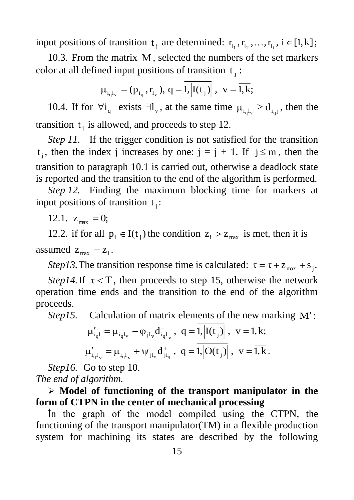input positions of transition  $t_j$  are determined:  $r_{l_1}, r_{l_2},..., r_{l_i}$ ,  $i \in [1, k]$ ;

10.3. From the matrix M , selected the numbers of the set markers color at all defined input positions of transition  $t_j$ :

$$
\mu_{i_{q}l_{v}} = (p_{i_{q}}, r_{l_{v}}), q = \overline{1, |I(t_{j})|}, \ v = \overline{1,k};
$$

10.4. If for  $\forall i_q$  exists  $\exists l_v$ , at the same time  $\mu_{i_q l_v} \ge d_{i_q j}^-$ , then the transition  $t_j$  is allowed, and proceeds to step 12.

*Step 11.* If the trigger condition is not satisfied for the transition  $t_j$ , then the index j increases by one:  $j = j + 1$ . If  $j \le m$ , then the transition to paragraph 10.1 is carried out, otherwise a deadlock state is reported and the transition to the end of the algorithm is performed.

*Step 12.* Finding the maximum blocking time for markers at input positions of transition  $t_j$ :

12.1.  $z_{\text{max}} = 0$ ;

12.2. if for all  $p_i \in I(t_j)$  the condition  $z_i > z_{max}$  is met, then it is assumed  $z_{\text{max}} = z_i$ .

*Step13*. The transition response time is calculated:  $\tau = \tau + z_{\text{max}} + s_j$ .

*Step14*. If  $\tau < T$ , then proceeds to step 15, otherwise the network operation time ends and the transition to the end of the algorithm proceeds.

Step15. Calculation of matrix elements of the new marking M':

$$
\begin{aligned} \mu'_{i_{q}l} &= \mu_{i_{q}l_{v}} - \phi_{jl_{v}}d_{i_{q}l_{v}}^{-}, \ \ q = 1, & \left|I(t_{j})\right|, \ \ v = \overline{l,k}; \\ \mu'_{i_{q}l_{v}} &= \mu_{i_{q}l_{v}} + \psi_{jl_{v}}d_{jl_{q}}^{+}, \ \ q = \overline{1,}\overline{\left|O(t_{j})\right|}\ , \ \ v = \overline{l,k}\,. \end{aligned}
$$

*Step16.* Go to step 10. *The end of algorithm.*

 **Model of functioning of the transport manipulator in the form of CTPN in the center of mechanical processing**

İn the graph of the model compiled using the CTPN, the functioning of the transport manipulator(TM) in a flexible production system for machining its states are described by the following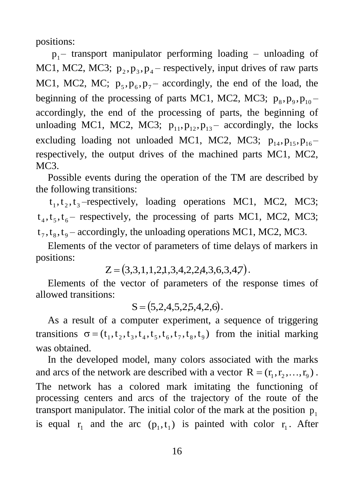positions:

 $p_1$  – transport manipulator performing loading – unloading of MC1, MC2, MC3;  $p_2, p_3, p_4$  respectively, input drives of raw parts MC1, MC2, MC;  $p_5$ ,  $p_6$ ,  $p_7$  accordingly, the end of the load, the beginning of the processing of parts MC1, MC2, MC3;  $p_8, p_9, p_{10}$ accordingly, the end of the processing of parts, the beginning of unloading MC1, MC2, MC3;  $p_{11}, p_{12}, p_{13}$  accordingly, the locks excluding loading not unloaded MC1, MC2, MC3;  $p_{14}, p_{15}, p_{16}$ respectively, the output drives of the machined parts MC1, MC2, MC<sub>3</sub>.

Possible events during the operation of the TM are described by the following transitions:

 $t_1, t_2, t_3$ -respectively, loading operations MC1, MC2, MC3;  $t_4, t_5, t_6$  respectively, the processing of parts MC1, MC2, MC3;  $t_7, t_8, t_9$  – accordingly, the unloading operations MC1, MC2, MC3.

Elements of the vector of parameters of time delays of markers in positions:

 $Z = (3,3,1,1,2,1,3,4,2,2,4,3,6,3,4,7).$ 

Elements of the vector of parameters of the response times of allowed transitions:

 $S = (5,2,4,5,2,5,4,2,6).$ 

As a result of a computer experiment, a sequence of triggering transitions  $\sigma = (t_1, t_2, t_3, t_4, t_5, t_6, t_7, t_8, t_9)$  from the initial marking was obtained.

In the developed model, many colors associated with the marks and arcs of the network are described with a vector  $R = (r_1, r_2, ..., r_9)$ . The network has a colored mark imitating the functioning of processing centers and arcs of the trajectory of the route of the transport manipulator. The initial color of the mark at the position  $p_1$ is equal  $r_1$  and the arc  $(p_1, t_1)$  is painted with color  $r_1$ . After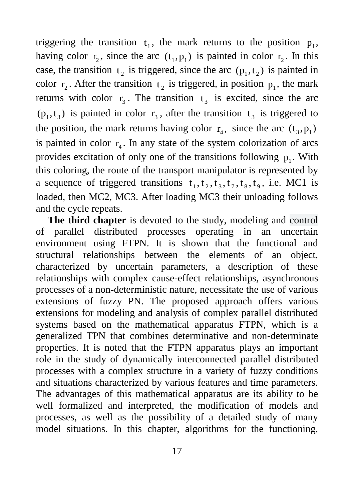triggering the transition  $t_1$ , the mark returns to the position  $p_1$ , having color  $r_2$ , since the arc  $(t_1, p_1)$  is painted in color  $r_2$ . In this case, the transition  $t_2$  is triggered, since the arc  $(p_1, t_2)$  is painted in color  $r_2$ . After the transition  $t_2$  is triggered, in position  $p_1$ , the mark returns with color  $r_3$ . The transition  $t_3$  is excited, since the arc  $(p_1, t_3)$  is painted in color  $r_3$ , after the transition  $t_3$  is triggered to the position, the mark returns having color  $r_4$ , since the arc  $(t_3, p_1)$ is painted in color  $r_4$ . In any state of the system colorization of arcs provides excitation of only one of the transitions following  $p_1$ . With this coloring, the route of the transport manipulator is represented by a sequence of triggered transitions  $t_1, t_2, t_3, t_7, t_8, t_9$ , i.e. MC1 is loaded, then MC2, MC3. After loading MC3 their unloading follows and the cycle repeats.

**The third chapter** is devoted to the study, modeling and control of parallel distributed processes operating in an uncertain environment using FTPN. It is shown that the functional and structural relationships between the elements of an object, characterized by uncertain parameters, a description of these relationships with complex cause-effect relationships, asynchronous processes of a non-deterministic nature, necessitate the use of various extensions of fuzzy PN. The proposed approach offers various extensions for modeling and analysis of complex parallel distributed systems based on the mathematical apparatus FTPN, which is a generalized TPN that combines determinative and non-determinate properties. It is noted that the FTPN apparatus plays an important role in the study of dynamically interconnected parallel distributed processes with a complex structure in a variety of fuzzy conditions and situations characterized by various features and time parameters. The advantages of this mathematical apparatus are its ability to be well formalized and interpreted, the modification of models and processes, as well as the possibility of a detailed study of many model situations. In this chapter, algorithms for the functioning,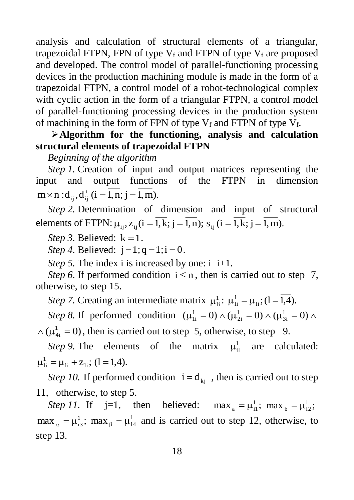analysis and calculation of structural elements of a triangular, trapezoidal FTPN, FPN of type  $V_f$  and FTPN of type  $V_f$  are proposed and developed. The control model of parallel-functioning processing devices in the production machining module is made in the form of a trapezoidal FTPN, a control model of a robot-technological complex with cyclic action in the form of a triangular FTPN, a control model of parallel-functioning processing devices in the production system of machining in the form of FPN of type  $V_f$  and FTPN of type  $V_f$ .

### **Algorithm for the functioning, analysis and calculation structural elements оf trapezoidal FTPN**

*Beginning of the algorithm*

*Step 1.* Creation of input and output matrices representing the input and output functions of the FTPN in dimension  $m \times n$  :  $d_{ij}^-, d_{ij}^+$  ( $i = 1, n; j = 1, m$ ).

*Step 2.* Determination of dimension and input of structural elements of FTPN:  $\mu_{ij}$ ,  $z_{ij}$  ( $i = 1, k$ ;  $j = 1, n$ );  $s_{ij}$  ( $i = 1, k$ ;  $j = 1, m$ ).

*Step 3.* Believed:  $k = 1$ .

*Step 4.* Believed:  $j = 1; q = 1; i = 0$ .

*Step 5.* The index i is increased by one: i=i+1.

*Step 6.* If performed condition  $i \le n$ , then is carried out to step 7, otherwise, to step 15.

*Step* 7. Creating an intermediate matrix  $\mu_{\rm ii}^1$ :  $\mu_{\rm ii}^1 = \mu_{\rm ii}$ ; (1 = 1,4).

*Step 8.* If performed condition  $(\mu_{1i}^1 = 0) \wedge (\mu_{2i}^1 = 0) \wedge (\mu_{3i}^1 = 0) \wedge$ 3i 1 2i 1 1i  $\wedge (\mu_{4i}^1 = 0)$ , then is carried out to step 5, otherwise, to step 9.

*Step 9*. The elements of the matrix  $\mu_{il}^{1}$  are calculated:  $\mu_{1i}^1 = \mu_{1i} + \mu_{1i}; (1 = 1, 4).$ 

*Step 10.* If performed condition  $i = d_{kj}^-$ , then is carried out to step 11, otherwise, to step 5.

*Step 11.* If  $j=1$ , then believed:  $\max_a = \mu_{i1}^1$ ;  $\max_b = \mu_{i2}^1$ ;  $\max_{\alpha} = \mu_{13}^1$ ;  $\max_{\beta} = \mu_{14}^1$  and is carried out to step 12, otherwise, to step 13.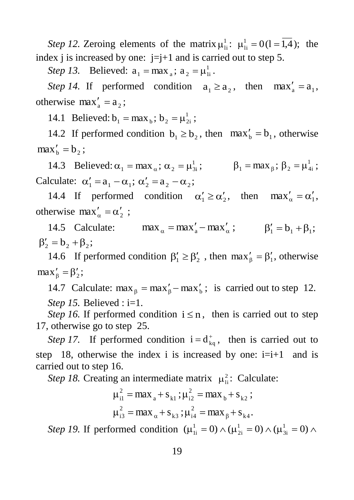*Step 12.* Zeroing elements of the matrix  $\mu_{\text{li}}^1$ :  $\mu_{\text{li}}^1 = 0$  (1 = 1,4); the index j is increased by one:  $j=j+1$  and is carried out to step 5.

*Step 13.* Believed:  $a_1 = max_a$ ;  $a_2 = \mu_1^1$  $a_1 = max_a$ ;  $a_2 = \mu_{1i}^1$ .

*Step 14.* If performed condition  $a_1 \ge a_2$ , then  $max'_a = a_1$ , otherwise  $max'_{a} = a_{2}$ ;

14.1 Believed:  $b_1 = max_b$ ;  $b_2 = \mu_{2i}^1$ ;

14.2 If performed condition  $b_1 \ge b_2$ , then  $\max_b' = b_1$ , otherwise  $max_{b}' = b_2;$ 

14.3 Believed:  $\alpha_1 = \max_{\alpha}$ ;  $\alpha_2 = \mu_{3i}^1$ ;  $\beta_1 = \max_{\beta}$ ;  $\beta_2 = \mu_{4i}^1$ ; Calculate:  $\alpha'_1 = a_1 - \alpha_1$ ;  $\alpha'_2 = a_2 - \alpha_2$ ;

14.4 If performed condition  $\alpha'_1 \ge \alpha'_2$ , then  $\max'_\alpha = \alpha'_1$ , otherwise max'<sub> $\alpha$ </sub> =  $\alpha'_{2}$ ;

14.5 Calculate:  $\max_{\alpha} = \max_{a}' - \max_{\alpha}$ ;  $\beta'_1 = b_1 + \beta_1$ ;  $\beta'_2 = b_2 + \beta_2;$ 

14.6 If performed condition  $\beta'_1 \ge \beta'_2$ , then  $\max'_{\beta} = \beta'_1$ , otherwise  $\max_{\beta} = \beta_2';$ 

14.7 Calculate:  $\max_{\beta} = \max_{\beta}' - \max_{b}$ ; is carried out to step 12. *Step 15.* Believed : i=1.

*Step 16.* If performed condition  $i \leq n$ , then is carried out to step 17, otherwise go to step 25.

*Step 17.* If performed condition  $i = d_{kq}^+$ , then is carried out to step 18, otherwise the index i is increased by one:  $i=i+1$  and is carried out to step 16.

*Step 18.* Creating an intermediate matrix  $\mu<sub>li</sub><sup>2</sup>$ : Calculate:

$$
\mu_{i1}^{2} = \max_{a} + s_{k1} ; \mu_{i2}^{2} = \max_{b} + s_{k2} ;
$$
  

$$
\mu_{i3}^{2} = \max_{\alpha} + s_{k3} ; \mu_{i4}^{2} = \max_{\beta} + s_{k4}.
$$

*Step 19.* If performed condition  $(\mu_{1i}^1 = 0) \wedge (\mu_{2i}^1 = 0) \wedge (\mu_{3i}^1 = 0) \wedge$ 3i 1 2i 1 1i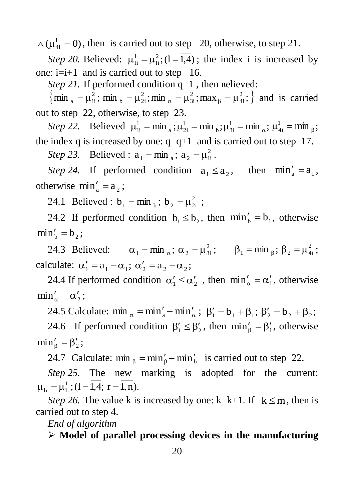$\wedge (\mu_{4i}^1 = 0)$ , then is carried out to step 20, otherwise, to step 21.

*Step 20.* Believed:  $\mu_{1i}^1 = \mu_{1i}^2$ ; (1 = 1,4) li  $\mu_{1i}^1 = \mu_{1i}^2$ ; (1 = 1,4); the index i is increased by one:  $i=i+1$  and is carried out to step 16.

*Step 21.* If performed condition q=1, then believed:

 $\{\min_{a} = \mu_{1i}^2$ ;  $\min_{b} = \mu_{2i}^2$ ;  $\min_{\alpha} = \mu_{3i}^2$ ;  $\max_{\beta} = \mu_{4i}^2$ ;  $\}$ 4i 2 3i 2 b  $\mu_{2i}$ 2  $\mu_{\rm a} = \mu_{\rm ii}^2$ ; min  $\mu_{\rm b} = \mu_{\rm 2i}^2$ ; min  $\mu_{\rm a} = \mu_{\rm 3i}^2$ ; max  $\mu_{\rm b} = \mu_{\rm 4i}^2$ ;  $\}$  and is carried out to step 22, otherwise, to step 23.

*Step 22.* Believed  $\mu_{1i}^1 = \min_{a}$ ;  $\mu_{2i}^1 = \min_{b}$ ;  $\mu_{3i}^1 = \min_{a}$ ; b  $\sim$  3i 1 a  $, \sim$  2i  $\mu_{1i}^1 = \min_{a} ; \mu_{2i}^1 = \min_{b} ; \mu_{3i}^1 = \min_{a} ; \mu_{4i}^1 = \min_{\beta}$  $_{4i}^{1} = \min_{\beta};$ the index q is increased by one:  $q=q+1$  and is carried out to step 17.

*Step 23.* Believed :  $a_1 = \min_{a}$ ;  $a_2 = \mu_{ii}^2$  $a_1 = \min_{a}$ ;  $a_2 = \mu_{1i}^2$ .

*Step 24.* If performed condition  $a_1 \le a_2$ , then  $\min'_a = a_1$ , otherwise  $\min_a' = a_2$ ;

24.1 Believed :  $b_1 = min_b$ ;  $b_2 = \mu_{2i}^2$ ;

24.2 If performed condition  $b_1 \leq b_2$ , then  $\min_b' = b_1$ , otherwise  $\min_{b}^{\prime} = b_2;$ 

24.3 Believed:  $\alpha_1 = \min_{\alpha}$ ;  $\alpha_2 = \mu_{3i}^2$ ;  $\beta_1 = \min_{\beta}$ ;  $\beta_2 = \mu_{4i}^2$ ; calculate:  $\alpha'_1 = a_1 - \alpha_1$ ;  $\alpha'_2 = a_2 - \alpha_2$ ;

24.4 If performed condition  $\alpha'_1 \leq \alpha'_2$ , then  $\min_{\alpha} = \alpha'_1$ , otherwise  $\min_\alpha' = \alpha'_2;$ 

24.5 Calculate:  $\min_{\alpha} = \min_{a}' - \min_{\alpha}'$ ;  $\beta'_1 = b_1 + \beta_1$ ;  $\beta'_2 = b_2 + \beta_2$ ; 24.6 If performed condition  $\beta'_1 \leq \beta'_2$ , then  $\min'_{\beta} = \beta'_1$ , otherwise  $\min'_{\beta} = \beta'_2;$ 

24.7 Calculate:  $\min_{\beta} = \min_{\beta}' - \min_{b}$  is carried out to step 22.

*Step 25.* The new marking is adopted for the current:  $\mu_{1r} = \mu_{1r}^1$ ; (1 = 1,4; r = 1, n).

*Step 26.* The value k is increased by one: k=k+1. If  $k \le m$ , then is carried out to step 4.

*End of algorithm*

**Model of parallel processing devices in the manufacturing**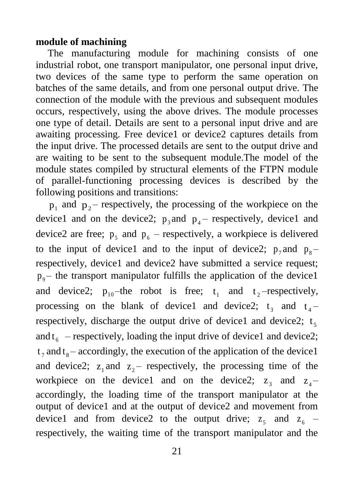#### **module of machining**

The manufacturing module for machining consists of one industrial robot, one transport manipulator, one personal input drive, two devices of the same type to perform the same operation on batches of the same details, and from one personal output drive. The connection of the module with the previous and subsequent modules occurs, respectively, using the above drives. The module processes one type of detail. Details are sent to a personal input drive and are awaiting processing. Free device1 or device2 captures details from the input drive. The processed details are sent to the output drive and are waiting to be sent to the subsequent module.The model of the module states compiled by structural elements of the FTPN module of parallel-functioning processing devices is described by the following positions and transitions:

 $p_1$  and  $p_2$ – respectively, the processing of the workpiece on the device1 and on the device2;  $p_3$  and  $p_4$  – respectively, device1 and device2 are free;  $p_5$  and  $p_6$  – respectively, a workpiece is delivered to the input of device1 and to the input of device2;  $p_7$  and  $p_8$ respectively, device1 and device2 have submitted a service request;  $p_0$  – the transport manipulator fulfills the application of the device1 and device2;  $p_{10}$ -the robot is free;  $t_1$  and  $t_2$ -respectively, processing on the blank of device1 and device2;  $t_3$  and  $t_4$ – respectively, discharge the output drive of device1 and device2;  $t_5$ and  $t_6$  – respectively, loading the input drive of device1 and device2;  $t_7$  and  $t_8$  – accordingly, the execution of the application of the device1 and device2;  $z_1$  and  $z_2$  respectively, the processing time of the workpiece on the device1 and on the device2;  $z_3$  and  $z_4$ accordingly, the loading time of the transport manipulator at the output of device1 and at the output of device2 and movement from device1 and from device2 to the output drive;  $z_5$  and  $z_6$  – respectively, the waiting time of the transport manipulator and the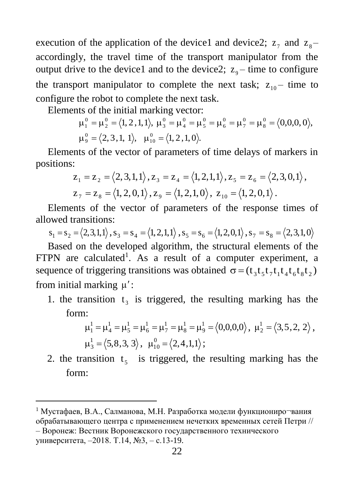execution of the application of the device1 and device2;  $z_7$  and  $z_8$ accordingly, the travel time of the transport manipulator from the output drive to the device1 and to the device2;  $z_9$  – time to configure the transport manipulator to complete the next task;  $z_{10}$  – time to configure the robot to complete the next task.

Elements of the initial marking vector:

 $\mu_1^0 = \mu_2^0 = \langle 1, 2\,, 1, 1 \rangle, \ \mu_3^0 = \mu_4^0 = \mu_5^0 = \mu_6^0 = \mu_7^0 = \mu_8^0 = \langle 0, 0, 0, 0 \rangle,$  $\mu_9^0 = \langle 2, 3, 1, 1 \rangle, \quad \mu_{10}^0 = \langle 1, 2, 1, 0 \rangle.$ 

Elements of the vector of parameters of time delays of markers in positions:

$$
z_1 = z_2 = \langle 2, 3, 1, 1 \rangle, z_3 = z_4 = \langle 1, 2, 1, 1 \rangle, z_5 = z_6 = \langle 2, 3, 0, 1 \rangle,
$$
  
\n
$$
z_7 = z_8 = \langle 1, 2, 0, 1 \rangle, z_9 = \langle 1, 2, 1, 0 \rangle, z_{10} = \langle 1, 2, 0, 1 \rangle.
$$

Elements of the vector of parameters of the response times of allowed transitions:

 $s_1 = s_2 = \langle 2,3,1,1 \rangle$ ,  $s_3 = s_4 = \langle 1,2,1,1 \rangle$ ,  $s_5 = s_6 = \langle 1,2,0,1 \rangle$ ,  $s_7 = s_8 = \langle 2,3,1,0 \rangle$ 

Based on the developed algorithm, the structural elements of the FTPN are calculated<sup>1</sup>. As a result of a computer experiment, a sequence of triggering transitions was obtained  $\sigma = (t_3 t_5 t_7 t_1 t_4 t_6 t_8 t_2)$ from initial marking  $\mu'$ :

1. the transition  $t_3$  is triggered, the resulting marking has the form:

$$
\mu_1^1 = \mu_4^1 = \mu_5^1 = \mu_6^1 = \mu_7^1 = \mu_8^1 = \mu_9^1 = \langle 0, 0, 0, 0 \rangle, \ \mu_2^1 = \langle 3, 5, 2, 2 \rangle, \mu_3^1 = \langle 5, 8, 3, 3 \rangle, \ \mu_{10}^0 = \langle 2, 4, 1, 1 \rangle;
$$

2. the transition  $t_5$  is triggered, the resulting marking has the form:

‒ Воронеж: Вестник Воронежского государственного технического университета, ‒2018. Т.14, №3, ‒ с.13-19.

 $\overline{a}$ 

<sup>&</sup>lt;sup>1</sup> Мустафаев, В.А., Салманова, М.Н. Разработка модели функциониро-вания обрабатывающего центра с применением нечетких временных сетей Петри //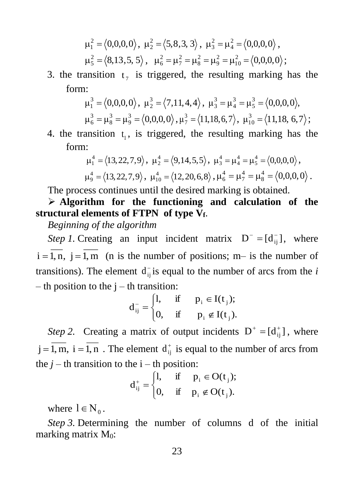$$
\mu_1^2 = \langle 0,0,0,0 \rangle, \ \mu_2^2 = \langle 5,8,3,3 \rangle, \ \mu_3^2 = \mu_4^2 = \langle 0,0,0,0 \rangle, \mu_5^2 = \langle 8,13,5,5 \rangle, \ \mu_6^2 = \mu_7^2 = \mu_8^2 = \mu_9^2 = \mu_{10}^2 = \langle 0,0,0,0 \rangle;
$$

3. the transition  $t_7$  is triggered, the resulting marking has the form:

$$
\begin{aligned} \mu_1^3 = \left\langle 0, 0, 0, 0 \right\rangle, \ \mu_2^3 = \left\langle 7, 11, 4, 4 \right\rangle, \ \mu_3^3 = \mu_4^3 = \mu_5^3 = \left\langle 0, 0, 0, 0 \right\rangle, \\ \mu_6^3 = \mu_8^3 = \mu_9^3 = \left\langle 0, 0, 0, 0 \right\rangle, \mu_7^3 = \left\langle 11, 18, 6, 7 \right\rangle, \ \mu_{10}^3 = \left\langle 11, 18, 6, 7 \right\rangle; \end{aligned}
$$

4. the transition  $t_1$ , is triggered, the resulting marking has the form:

$$
\mu_1^4 = \langle 13, 22, 7, 9 \rangle, \ \mu_2^4 = \langle 9, 14, 5, 5 \rangle, \ \mu_3^4 = \mu_4^4 = \mu_5^4 = \langle 0, 0, 0, 0 \rangle, \mu_9^4 = \langle 13, 22, 7, 9 \rangle, \ \mu_{10}^4 = \langle 12, 20, 6, 8 \rangle, \mu_6^4 = \mu_7^4 = \mu_8^4 = \langle 0, 0, 0, 0 \rangle.
$$

The process continues until the desired marking is obtained.

 **Algorithm for the functioning and calculation of the structural elements of FTPN of type Vf**.

*Beginning of the algorithm*

*Step 1*. Creating an input incident matrix  $D^{-} = [d_{ij}^{-}]$ , where  $i = 1, n, j = 1, m$  (n is the number of positions; m– is the number of transitions). The element  $d_{ij}$  is equal to the number of arcs from the *i* – th position to the  $j$  – th transition:

$$
d_{ij}^- = \begin{cases} 1, & \text{if } p_i \in I(t_j); \\ 0, & \text{if } p_i \notin I(t_j). \end{cases}
$$

*Step 2.* Creating a matrix of output incidents  $D^+ = [d_{ij}^+]$ , where  $j = 1, m, i = 1, n$ . The element  $d_{ij}^{\dagger}$  is equal to the number of arcs from the  $j$  – th transition to the  $i$  – th position:

$$
d_{ij}^+ = \begin{cases} 1, & \text{if } p_i \in O(t_j); \\ 0, & \text{if } p_i \notin O(t_j). \end{cases}
$$

where  $l \in N_0$ .

*Step 3.* Determining the number of columns d of the initial marking matrix M0: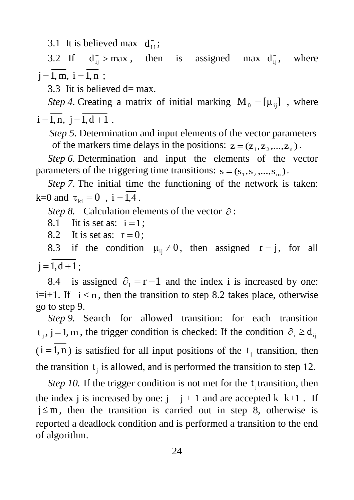3.1 It is believed max= $d_{11}^-$ ;

3.2 If  $d_{ij}^- > max$ , then is assigned max= $d_{ij}^$ where  $j = 1, m, i = 1, n;$ 

3.3 Iit is believed d= max*.*

*Step 4*. Creating a matrix of initial marking  $M_0 = [\mu_{ij}]$ , where  $i = 1, n, j = 1, d + 1$ .

*Step 5.* Determination and input elements of the vector parameters of the markers time delays in the positions:  $z = (z_1, z_2, ..., z_n)$ .

*Step 6.* Determination and input the elements of the vector parameters of the triggering time transitions:  $s = (s_1, s_2, ..., s_m)$ .

*Step 7.* The initial time the functioning of the network is taken: k=0 and  $\tau_{ki} = 0$ , i = 1,4.

*Step 8.* Calculation elements of the vector  $\partial$ :

8.1 Iit is set as:  $i=1$ ;

8.2 It is set as:  $r = 0$ ;

8.3 if the condition  $\mu_{ij} \neq 0$ , then assigned  $r = j$ , for all  $j = 1, d + 1;$ 

8.4 is assigned  $\partial_i = r - 1$  and the index i is increased by one: i=i+1. If  $i \leq n$ , then the transition to step 8.2 takes place, otherwise go to step 9.

*Step 9.* Search for allowed transition: for each transition  $t_j$ ,  $j = 1, m$ , the trigger condition is checked: If the condition  $\partial_i \ge d_{ij}^ (i = 1, n)$  is satisfied for all input positions of the  $t_j$  transition, then the transition  $t_j$  is allowed, and is performed the transition to step 12.

*Step 10.* If the trigger condition is not met for the  $t_j$  transition, then the index j is increased by one:  $j = j + 1$  and are accepted k=k+1. If  $j \leq m$ , then the transition is carried out in step 8, otherwise is reported a deadlock condition and is performed a transition to the end of algorithm.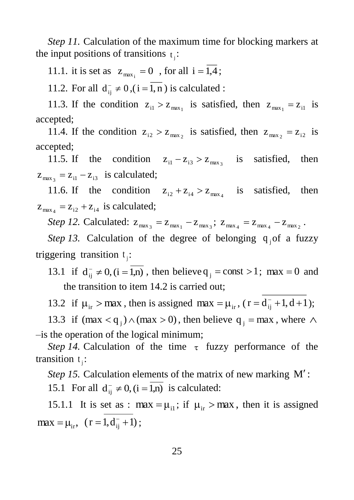*Step 11.* Calculation of the maximum time for blocking markers at the input positions of transitions  $t_j$ :

11.1. it is set as  $z_{max_i} = 0$ , for all  $i = 1,4$ ;

11.2. For all  $d_{ij}^- \neq 0$ ,  $(i = 1, n)$  is calculated :

11.3. If the condition  $z_{i1} > z_{max_1}$  is satisfied, then  $z_{max_1} = z_{i1}$  is accepted;

11.4. If the condition  $z_{i2} > z_{max_2}$  is satisfied, then  $z_{max_2} = z_{i2}$  is accepted;

11.5. If the condition  $z_{i1} - z_{i3} > z_{max_3}$  is satisfied, then  $z_{\text{max}_3} = z_{i1} - z_{i3}$  is calculated;

11.6. If the condition  $z_{i2} + z_{i4} > z_{max_4}$ satisfied, then  $z_{\text{max}_4} = z_{12} + z_{14}$  is calculated;

*Step 12.* Calculated:  $z_{\text{max}_3} = z_{\text{max}_1} - z_{\text{max}_3}$ ;  $z_{\text{max}_4} = z_{\text{max}_4} - z_{\text{max}_2}$ .

Step 13. Calculation of the degree of belonging  $q_j$  of a fuzzy triggering transition  $t_j$ :

13.1 if  $d_{ij}^- \neq 0$ ,  $(i = 1,n)$ , then believe  $q_j = const > 1$ ; max = 0 and the transition to item 14.2 is carried out;

13.2 if  $\mu_{ir} > \text{max}$ , then is assigned  $\text{max} = \mu_{ir}$ , ( $r = d_{ij}^{-} + 1$ ,  $d + 1$ );

13.3 if  $(max < q_j) \wedge (max > 0)$ , then believe  $q_j = max$ , where  $\wedge$ ‒is the operation of the logical minimum;

*Step 14.* Calculation of the time  $\tau$  fuzzy performance of the transition  $t_j$ :

Step 15. Calculation elements of the matrix of new marking M': 15.1 For all  $d_{ij}^- \neq 0$ ,  $(i = 1,n)$  is calculated:

15.1.1 It is set as : max =  $\mu_{i1}$ ; if  $\mu_{ir} >$  max, then it is assigned  $\max = \mu_{ir}, \;\; (r = 1, d_{ij}^- + 1);$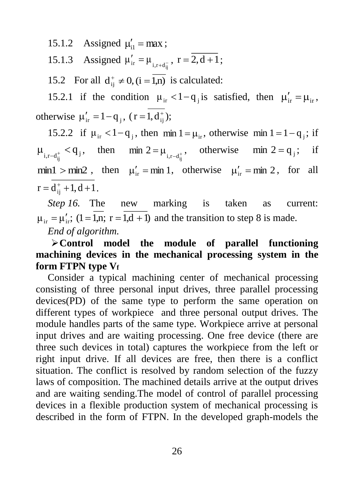15.1.2 Assigned  $\mu'_{i1} = \max$ ;

15.1.3 Assigned  $\mu'_{ir} = \mu_{i,r+d_{ir}}$  $\mu'_{ir} = \mu_{i,r+d_{ij}^-}$ ,  $r = 2, d+1$ ;

15.2 For all  $d_{ij}^+ \neq 0$ ,  $(i = 1,n)$  is calculated:

15.2.1 if the condition  $\mu_{ir} < 1 - q_j$  is satisfied, then  $\mu'_{ir} = \mu_{ir}$ , otherwise  $\mu'_{ir} = 1 - q_j$ ,  $(r = 1, d^+_{ij})$ ;

15.2.2 if  $\mu_{ir} < 1 - q_j$ , then min  $1 = \mu_{ir}$ , otherwise min  $1 = 1 - q_j$ ; if  $\mu_{i,r-d_{ij}^+} < q_j$ , then min  $2 = \mu_{i,r-d_{ij}^+}$ min 2 =  $\mu_{i,r-d_{ij}^+}$ , otherwise min 2 =  $q_j$ ; if min1 > min2, then  $\mu'_{ir} = \min 1$ , otherwise  $\mu'_{ir} = \min 2$ , for all  $r = d_{ij}^+ + 1, d + 1$ .

*Step 16.* The new marking is taken as current:  $\mu_{ir} = \mu'_{ir}$ ; (1 = 1,n; r = 1,d + 1) and the transition to step 8 is made. *End of algorithm.*

**Control model the module of parallel functioning machining devices in the mechanical processing system in the form FTPN type V<sup>f</sup>**

Consider a typical machining center of mechanical processing consisting of three personal input drives, three parallel processing devices(PD) of the same type to perform the same operation on different types of workpiece and three personal output drives. The module handles parts of the same type. Workpiece arrive at personal input drives and are waiting processing. One free device (there are three such devices in total) captures the workpiece from the left or right input drive. If all devices are free, then there is a conflict situation. The conflict is resolved by random selection of the fuzzy laws of composition. The machined details arrive at the output drives and are waiting sending.The model of control of parallel processing devices in a flexible production system of mechanical processing is described in the form of FTPN. In the developed graph-models the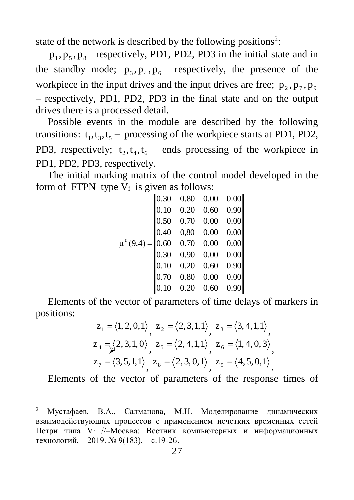state of the network is described by the following positions<sup>2</sup>:

 $p_1, p_5, p_8$  – respectively, PD1, PD2, PD3 in the initial state and in the standby mode;  $p_3, p_4, p_6$  respectively, the presence of the workpiece in the input drives and the input drives are free;  $p_2, p_7, p_9$ – respectively, PD1, PD2, PD3 in the final state and on the output drives there is a processed detail.

Possible events in the module are described by the following transitions:  $t_1, t_3, t_5$  – processing of the workpiece starts at PD1, PD2, PD3, respectively;  $t_2, t_4, t_6$  – ends processing of the workpiece in PD1, PD2, PD3, respectively.

The initial marking matrix of the control model developed in the form of FTPN type  $V_f$  is given as follows:

|                  | $\parallel$ 0.30 | 0.80 | 0.00 | 0.00 |
|------------------|------------------|------|------|------|
|                  | 0.10             | 0.20 | 0.60 | 0.90 |
|                  | 0.50             | 0.70 | 0.00 | 0.00 |
|                  | 0.40             | 0,80 | 0.00 | 0.00 |
| $\mu^{0}(9,4) =$ | 0.60             | 0.70 | 0.00 | 0.00 |
|                  | 0.30             | 0.90 | 0.00 | 0.00 |
|                  | 0.10             | 0.20 | 0.60 | 0.90 |
|                  | 0.70             | 0.80 | 0.00 | 0.00 |
|                  | 0.10             | 0.20 | 0.60 | 0.90 |

Elements of the vector of parameters of time delays of markers in positions:

$$
z_{1} = \langle 1, 2, 0, 1 \rangle, \ z_{2} = \langle 2, 3, 1, 1 \rangle, \ z_{3} = \langle 3, 4, 1, 1 \rangle, z_{4} = \sqrt{2}, 3, 1, 0 \rangle, \ z_{5} = \langle 2, 4, 1, 1 \rangle, \ z_{6} = \langle 1, 4, 0, 3 \rangle, z_{7} = \langle 3, 5, 1, 1 \rangle, \ z_{8} = \langle 2, 3, 0, 1 \rangle, \ z_{9} = \langle 4, 5, 0, 1 \rangle.
$$

Elements of the vector of parameters of the response times of

 $\overline{a}$ 

<sup>2</sup> Мустафаев, В.А., Салманова, М.Н. Моделирование динамических взаимодействующих процессов с применением нечетких временных сетей Петри типа V<sub>f</sub> //-Москва: Вестник компьютерных и информационных технологий, ‒ 2019. № 9(183), ‒ с.19-26.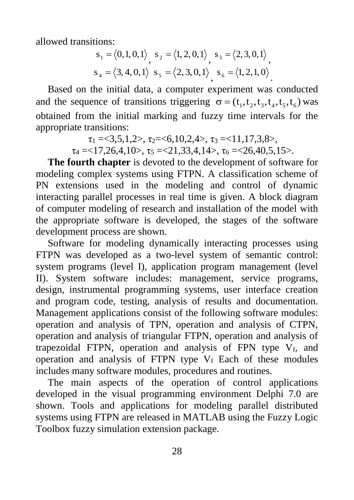allowed transitions:

$$
s_1 = \langle 0, 1, 0, 1 \rangle, \quad s_2 = \langle 1, 2, 0, 1 \rangle, \quad s_3 = \langle 2, 3, 0, 1 \rangle, s_4 = \langle 3, 4, 0, 1 \rangle, \quad s_5 = \langle 2, 3, 0, 1 \rangle, \quad s_6 = \langle 1, 2, 1, 0 \rangle.
$$

Based on the initial data, a computer experiment was conducted and the sequence of transitions triggering  $\sigma = (t_1, t_2, t_3, t_4, t_5, t_6)$  was obtained from the initial marking and fuzzy time intervals for the appropriate transitions:

> $\tau_1 = 3.5, 1.2$ ,  $\tau_2 = 6, 10, 2.4$ ,  $\tau_3 = 11, 17, 3.8$ ,  $\tau_4 = 17,26,4,10$ ,  $\tau_5 = 21,33,4,14$ ,  $\tau_6 = 26,40,5,15$ .

**The fourth chapter** is devoted to the development of software for modeling complex systems using FTPN. A classification scheme of PN extensions used in the modeling and control of dynamic interacting parallel processes in real time is given. A block diagram of computer modeling of research and installation of the model with the appropriate software is developed, the stages of the software development process are shown.

Software for modeling dynamically interacting processes using FTPN was developed as a two-level system of semantic control: system programs (level I), application program management (level II). System software includes: management, service programs, design, instrumental programming systems, user interface creation and program code, testing, analysis of results and documentation. Management applications consist of the following software modules: operation and analysis of TPN, operation and analysis of CTPN, operation and analysis of triangular FTPN, operation and analysis of trapezoidal FTPN, operation and analysis of FPN type  $V_f$ , and operation and analysis of FTPN type  $V_f$  Each of these modules includes many software modules, procedures and routines.

The main aspects of the operation of control applications developed in the visual programming environment Delphi 7.0 are shown. Tools and applications for modeling parallel distributed systems using FTPN are released in MATLAB using the Fuzzy Logic Toolbox fuzzy simulation extension package.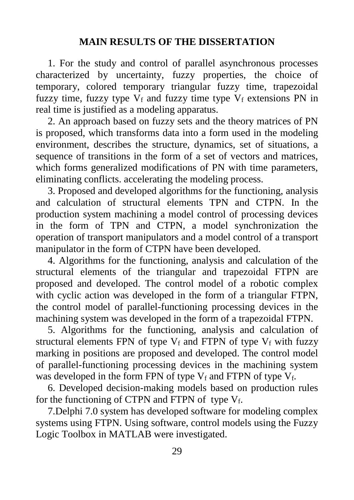### **MAIN RESULTS OF THE DISSERTATION**

1. For the study and control of parallel asynchronous processes characterized by uncertainty, fuzzy properties, the choice of temporary, colored temporary triangular fuzzy time, trapezoidal fuzzy time, fuzzy type  $V_f$  and fuzzy time type  $V_f$  extensions PN in real time is justified as a modeling apparatus.

2. An approach based on fuzzy sets and the theory matrices of PN is proposed, which transforms data into a form used in the modeling environment, describes the structure, dynamics, set of situations, a sequence of transitions in the form of a set of vectors and matrices, which forms generalized modifications of PN with time parameters, eliminating conflicts. accelerating the modeling process.

3. Proposed and developed algorithms for the functioning, analysis and calculation of structural elements TPN and CTPN. In the production system machining a model control of processing devices in the form of TPN and CTPN, a model synchronization the operation of transport manipulators and a model control of a transport manipulator in the form of CTPN have been developed.

4. Algorithms for the functioning, analysis and calculation of the structural elements of the triangular and trapezoidal FTPN are proposed and developed. The control model of a robotic complex with cyclic action was developed in the form of a triangular FTPN, the control model of parallel-functioning processing devices in the machining system was developed in the form of a trapezoidal FTPN.

5. Algorithms for the functioning, analysis and calculation of structural elements FPN of type  $V_f$  and FTPN of type  $V_f$  with fuzzy marking in positions are proposed and developed. The control model of parallel-functioning processing devices in the machining system was developed in the form FPN of type  $V_f$  and FTPN of type  $V_f$ .

6. Developed decision-making models based on production rules for the functioning of CTPN and FTPN of type  $V_f$ .

7.Delphi 7.0 system has developed software for modeling complex systems using FTPN. Using software, control models using the Fuzzy Logic Toolbox in MATLAB were investigated.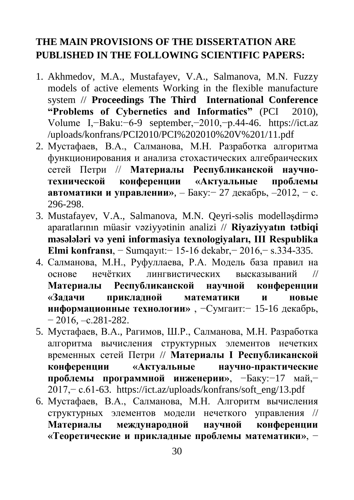# **THE MAIN PROVISIONS OF THE DISSERTATION ARE PUBLISHED IN THE FOLLOWING SCIENTIFIC PAPERS:**

- 1. Akhmedov, M.A., Mustafayev, V.A., Salmanova, M.N. Fuzzy models of active elements Working in the flexible manufacture system // **Proceedings The Third International Conference "Problems of Cybernetics and Informatics"** (PCI 2010), Volume I,−Baku:−6-9 september,−2010,−p.44-46. https://ict.az /uploads/konfrans/PCI2010/PCI%202010%20V%201/11.pdf
- 2. Мустафаев, В.А., Салманова, М.Н. Разработка алгоритма функционирования и анализа стохастических алгебраических сетей Петри // **Материалы Республиканской научнотехнической конференции «Актуальные проблемы автоматики и управлении»**, – Баку:− 27 декабрь, –2012, – с. 296-298.
- 3. Mustafayev, V.A., Salmanova, M.N. Qeyri-səlis modelləşdirmə aparatlarının müasir vəziyyətinin analizi // **Riyaziyyatın tətbiqi məsələləri və yeni informasiya texnologiyaları, III Respublika Elmi konfransı**, − Sumqayıt:− 15-16 dekabr,− 2016,− s.334-335.
- 4. Салманова, М.Н., Руфуллаева, Р.А. Модель база правил на основе нечётких лингвистических высказываний // **Материалы Республиканской научной конференции «Задачи прикладной математики и новые информационные технологии»** , −Сумгаит:− 15-16 декабрь,  $-2016, -c.281-282.$
- 5. Мустафаев, В.А., Рагимов, Ш.Р., Салманова, М.Н. Разработка алгоритма вычисления структурных элементов нечетких временных сетей Петри // **Материалы I Республиканской конференции «Актуальные научно-практические проблемы программной инженерии»**, −Баку:−17 май,− 2017,− с.61-63. https://ict.az/uploads/konfrans/soft\_eng/13.pdf
- 6. Мустафаев, В.А., Салманова, М.Н. Алгоритм вычисления структурных элементов модели нечеткого управления // **Материалы международной научной конференции «Теоретические и прикладные проблемы математики»**, −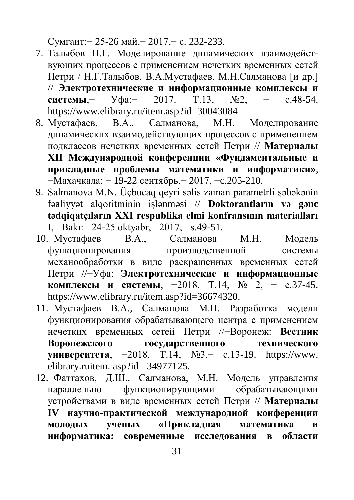Сумгаит:− 25-26 май,− 2017,− с. 232-233.

- 7. Талыбов Н.Г. Моделирование динамических взаимодействующих процессов с применением нечетких временных сетей Петри / Н.Г.Талыбов, В.А.Мустафаев, М.Н.Салманова [и др.] // **Электротехнические и информационные комплексы и системы**,− Уфа:− 2017. Т.13, №2, − с.48-54. https://www.elibrary.ru/item.asp?id=30043084
- 8. Мустафаев, В.А., Салманова, М.Н. Моделирование динамических взаимодействующих процессов с применением подклассов нечетких временных сетей Петри // **Материалы XII Международной конференции «Фундаментальные и прикладные проблемы математики и информатики»**, −Махачкала: − 19-22 сентябрь,− 2017, −c.205-210.
- 9. Salmanova M.N. Üçbucaq qeyri səlis zaman parametrli şəbəkənin fəaliyyət alqoritminin işlənməsi // **Doktorantların və gənc tədqiqatçıların XXI respublika elmi konfransının materialları** I,− Bakı: −24-25 oktyabr, −2017, −s.49-51.
- 10. Мустафаев В.А., Салманова М.Н. Модель функционирования производственной системы механообработки в виде раскрашенных временных сетей Петри //−Уфа: **Электротехнические и информационные комплексы и системы**, −2018. Т.14, № 2, − с.37-45. https://www.elibrary.ru/item.asp?id=36674320.
- 11. Мустафаев В.А., Салманова М.Н. Разработка модели функционирования обрабатывающего центра с применением нечетких временных сетей Петри //−Воронеж: **Вестник Воронежского государственного технического университета**, −2018. T.14, №3,− с.13-19. https://www. elibrary.ruitem. asp?id= 34977125.
- 12. Фаттахов, Д.Ш., Салманова, М.Н. Модель управления параллельно функционирующими обрабатывающими устройствами в виде временных сетей Петри // **Материалы IV научно-практической международной конференции молодых ученых «Прикладная математика и информатика: современные исследования в области**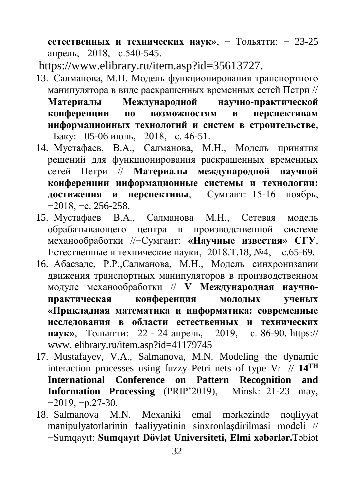**естественных и технических наук»**, − Тольятти: − 23-25 апрель,− 2018, −с.540-545.

https://www.elibrary.ru/item.asp?id=35613727.

- 13. Салманова, М.Н. Модель функционирования транспортного манипулятора в виде раскрашенных временных сетей Петри // **Материалы Международной научно-практической конференции по возможностям и перспективам информационных технологий и систем в строительстве**, −Баку:− 05-06 июль,− 2018, −с. 46-51.
- 14. Мустафаев, В.А., Салманова, М.Н., Модель принятия решений для функционирования раскрашенных временных сетей Петри // **Материалы международной научной конференции информационные системы и технологии: достижения и перспективы**, −Сумгаит:−15-16 ноябрь, −2018, −с. 256-258.
- 15. Мустафаев В.А., Салманова М.Н., Сетевая модель обрабатывающего центра в производственной системе механообработки //−Сумгаит: **«Научные известия» СГУ**, Естественные и технические науки,−2018.T.18, №4, − с.65-69.
- 16. Абасзаде, Р.Р.,Салманова, М.Н., Модель синхронизации движения транспортных манипуляторов в производственном модуле механообработки // **V Международная научнопрактическая конференция молодых ученых «Прикладная математика и информатика: современные исследования в области естественных и технических наук»**, −Тольятти: −22 - 24 апрель, − 2019, − с. 86-90. https:// www. elibrary.ru/item.asp?id=41179745
- 17. Mustafayev, V.A., Salmanova, M.N. Modeling the dynamic interaction processes using fuzzy Petri nets of type  $V_f$  // 14<sup>TH</sup> **International Conference on Pattern Recognition and Information Processing** (PRIP'2019), −Мinsk:−21-23 may, −2019, −p.27-30.
- 18. Salmanova M.N. Mexaniki emal mərkəzində nəqliyyat manipulyatorlarinin fəaliyyətinin sinxronlaşdirilmasi modeli // −Sumqayıt: **Sumqayıt Dövlət Universiteti, Elmi xəbərlər.**Təbiət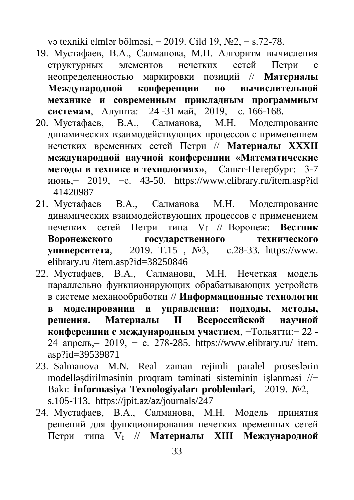və texniki elmlər bölməsi, − 2019. Cild 19, №2, − s.72-78.

- 19. Мустафаев, В.А., Салманова, М.Н. Алгоритм вычисления структурных элементов нечетких сетей Петри с неопределенностью маркировки позиций // **Mатериалы Международной конференции по вычислительной механике и современным прикладным программным системам**,− Алушта: − 24 -31 май,− 2019, − с. 166-168.
- 20. Мустафаев, В.А., Салманова, М.Н. Моделирование динамических взаимодействующих процессов с применением нечетких временных сетей Петри // **Материалы XXXII международной научной конференции «Математические методы в технике и технологиях»**, − Санкт-Петербург:− 3-7 июнь,− 2019, −с. 43-50. https://www.elibrary.ru/item.asp?id  $=41420987$
- 21. Мустафаев В.А., Салманова М.Н. Моделирование динамических взаимодействующих процессов с применением нечетких сетей Петри типа Vf //**−**Воронеж: **Вестник Воронежского государственного технического университета**, − 2019. T.15 , №3, − с.28-33. https://www. elibrary.ru /item.asp?id=38250846
- 22. Мустафаев, В.А., Салманова, М.Н. Нечеткая модель параллельно функционирующих обрабатывающих устройств в системе механообработки // **Информационные технологии в моделировании и управлении: подходы, методы, решения. Материалы II Всероссийской научной конференции с международным участием**, −Тольятти:− 22 - 24 апрель, — 2019, — с. 278-285. https://www.elibrary.ru/ item. asp?id=39539871
- 23. Salmanova M.N. Real zaman rejimli paralel proseslərin modelləşdirilməsinin proqram təminati sisteminin işlənməsi //− Bakı: **İnformasiya Texnologiyaları problemləri**, −2019. №2, − s.105-113. https://jpit.az/az/journals/247
- 24. Мустафаев, В.А., Салманова, М.Н. Модель принятия решений для функционирования нечетких временных сетей Петри типа V<sup>f</sup> // **Материалы XIII Международной**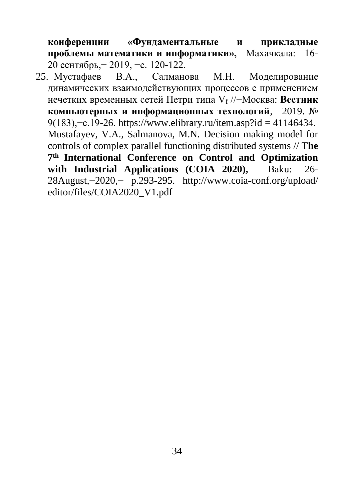**конференции «Фундаментальные и прикладные проблемы математики и информатики», −**Махачкала:− 16- 20 сентябрь,− 2019, −с. 120-122.

25. Мустафаев В.А., Салманова М.Н. Моделирование динамических взаимодействующих процессов с применением нечетких временных сетей Петри типа V<sup>f</sup> //−Москва: **Вестник компьютерных и информационных технологий**, −2019. № 9(183),−с.19-26. https://www.elibrary.ru/item.asp?id = 41146434. Mustafayev, V.A., Salmanova, M.N. Decision making model for controls of complex parallel functioning distributed systems // T**he 7 th International Conference on Control and Optimization with Industrial Applications (COIA 2020),** − Baku: −26- 28August,−2020,− p.293-295. http://www.coia-conf.org/upload/ editor/files/COIA2020\_V1.pdf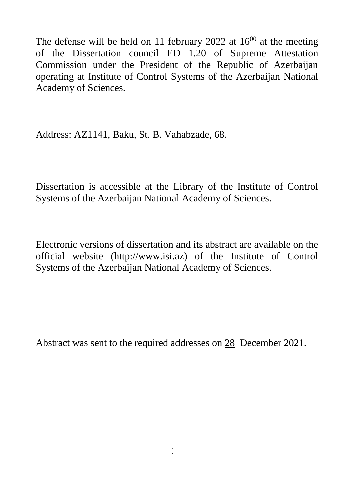The defense will be held on 11 february 2022 at  $16^{00}$  at the meeting of the Dissertation council ED 1.20 of Supreme Attestation Commission under the President of the Republic of Azerbaijan operating at Institute of Control Systems of the Azerbaijan National Academy of Sciences.

Address: AZ1141, Baku, St. B. Vahabzade, 68.

Dissertation is accessible at the Library of the Institute of Control Systems of the Azerbaijan National Academy of Sciences.

Electronic versions of dissertation and its abstract are available on the official website (http://www.isi.az) of the Institute of Control Systems of the Azerbaijan National Academy of Sciences.

Abstract was sent to the required addresses on 28 December 2021.

 $\frac{3}{2}$